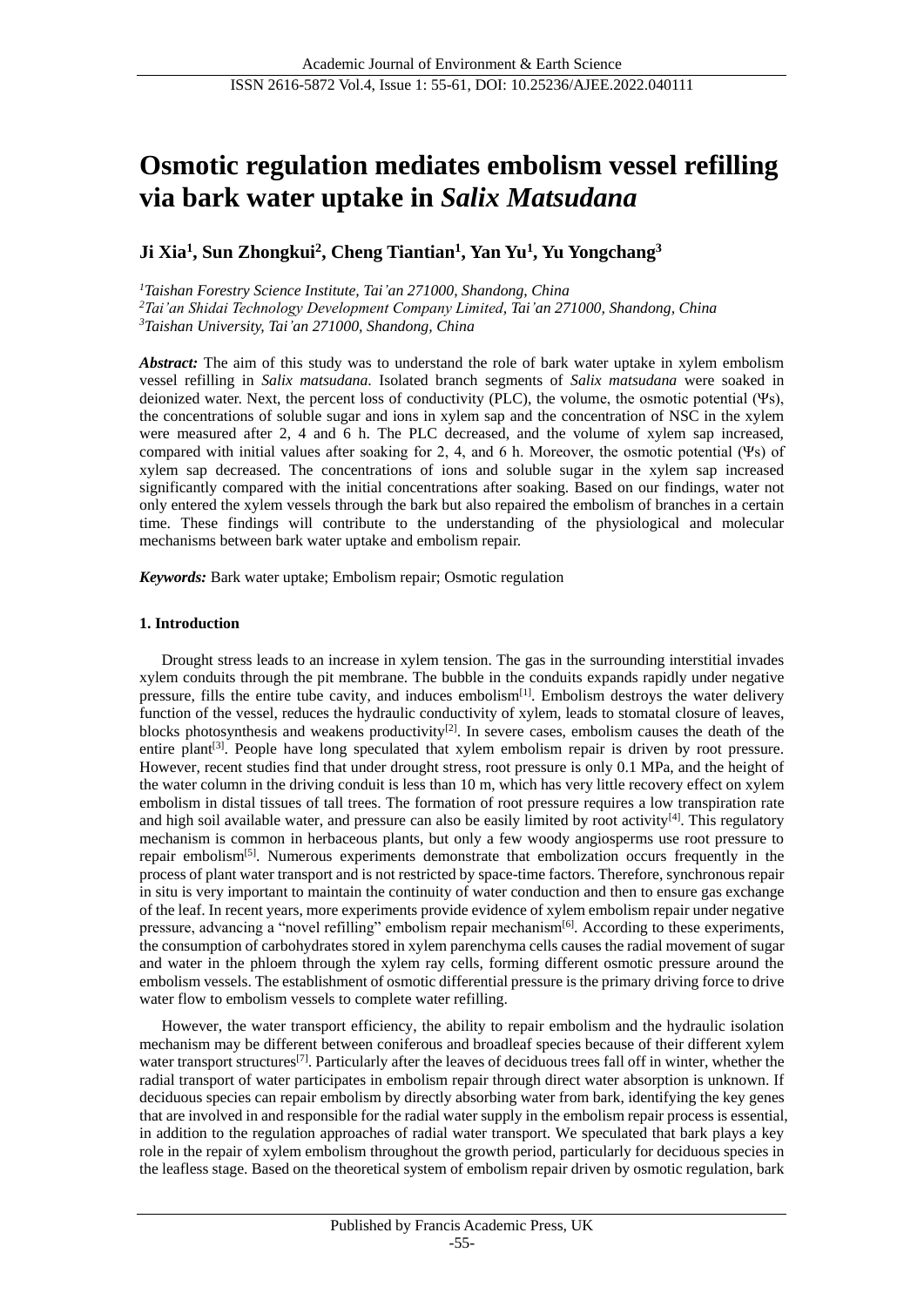# **Osmotic regulation mediates embolism vessel refilling via bark water uptake in** *Salix Matsudana*

## **Ji Xia<sup>1</sup> , Sun Zhongkui<sup>2</sup> , Cheng Tiantian<sup>1</sup> , Yan Yu<sup>1</sup> , Yu Yongchang<sup>3</sup>**

*<sup>1</sup>Taishan Forestry Science Institute, Tai'an 271000, Shandong, China <sup>2</sup>Tai'an Shidai Technology Development Company Limited, Tai'an 271000, Shandong, China <sup>3</sup>Taishan University, Tai'an 271000, Shandong, China*

*Abstract:* The aim of this study was to understand the role of bark water uptake in xylem embolism vessel refilling in *Salix matsudana*. Isolated branch segments of *Salix matsudana* were soaked in deionized water. Next, the percent loss of conductivity (PLC), the volume, the osmotic potential (Ψs), the concentrations of soluble sugar and ions in xylem sap and the concentration of NSC in the xylem were measured after 2, 4 and 6 h. The PLC decreased, and the volume of xylem sap increased, compared with initial values after soaking for 2, 4, and 6 h. Moreover, the osmotic potential (Ψs) of xylem sap decreased. The concentrations of ions and soluble sugar in the xylem sap increased significantly compared with the initial concentrations after soaking. Based on our findings, water not only entered the xylem vessels through the bark but also repaired the embolism of branches in a certain time. These findings will contribute to the understanding of the physiological and molecular mechanisms between bark water uptake and embolism repair.

*Keywords:* Bark water uptake; Embolism repair; Osmotic regulation

## **1. Introduction**

Drought stress leads to an increase in xylem tension. The gas in the surrounding interstitial invades xylem conduits through the pit membrane. The bubble in the conduits expands rapidly under negative pressure, fills the entire tube cavity, and induces embolism<sup>[1]</sup>. Embolism destroys the water delivery function of the vessel, reduces the hydraulic conductivity of xylem, leads to stomatal closure of leaves, blocks photosynthesis and weakens productivity<sup>[2]</sup>. In severe cases, embolism causes the death of the entire plant<sup>[3]</sup>. People have long speculated that xylem embolism repair is driven by root pressure. However, recent studies find that under drought stress, root pressure is only 0.1 MPa, and the height of the water column in the driving conduit is less than 10 m, which has very little recovery effect on xylem embolism in distal tissues of tall trees. The formation of root pressure requires a low transpiration rate and high soil available water, and pressure can also be easily limited by root activity $[4]$ . This regulatory mechanism is common in herbaceous plants, but only a few woody angiosperms use root pressure to repair embolism[5]. Numerous experiments demonstrate that embolization occurs frequently in the process of plant water transport and is not restricted by space-time factors. Therefore, synchronous repair in situ is very important to maintain the continuity of water conduction and then to ensure gas exchange of the leaf. In recent years, more experiments provide evidence of xylem embolism repair under negative pressure, advancing a "novel refilling" embolism repair mechanism<sup>[6]</sup>. According to these experiments, the consumption of carbohydrates stored in xylem parenchyma cells causes the radial movement of sugar and water in the phloem through the xylem ray cells, forming different osmotic pressure around the embolism vessels. The establishment of osmotic differential pressure is the primary driving force to drive water flow to embolism vessels to complete water refilling.

However, the water transport efficiency, the ability to repair embolism and the hydraulic isolation mechanism may be different between coniferous and broadleaf species because of their different xylem water transport structures<sup>[7]</sup>. Particularly after the leaves of deciduous trees fall off in winter, whether the radial transport of water participates in embolism repair through direct water absorption is unknown. If deciduous species can repair embolism by directly absorbing water from bark, identifying the key genes that are involved in and responsible for the radial water supply in the embolism repair process is essential, in addition to the regulation approaches of radial water transport. We speculated that bark plays a key role in the repair of xylem embolism throughout the growth period, particularly for deciduous species in the leafless stage. Based on the theoretical system of embolism repair driven by osmotic regulation, bark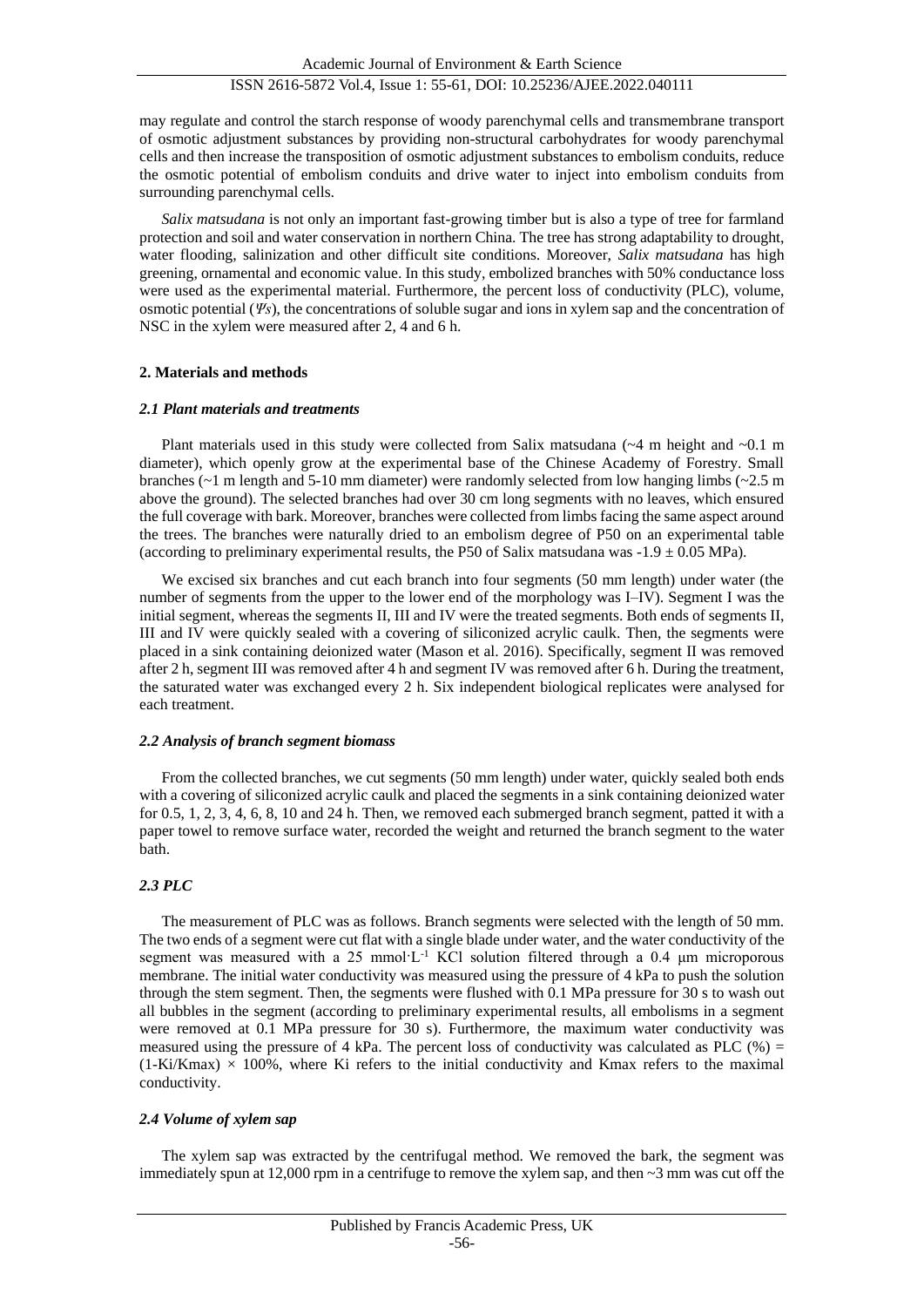may regulate and control the starch response of woody parenchymal cells and transmembrane transport of osmotic adjustment substances by providing non-structural carbohydrates for woody parenchymal cells and then increase the transposition of osmotic adjustment substances to embolism conduits, reduce the osmotic potential of embolism conduits and drive water to inject into embolism conduits from surrounding parenchymal cells.

*Salix matsudana* is not only an important fast-growing timber but is also a type of tree for farmland protection and soil and water conservation in northern China. The tree has strong adaptability to drought, water flooding, salinization and other difficult site conditions. Moreover, *Salix matsudana* has high greening, ornamental and economic value. In this study, embolized branches with 50% conductance loss were used as the experimental material. Furthermore, the percent loss of conductivity (PLC), volume, osmotic potential (*Ψs*), the concentrations of soluble sugar and ions in xylem sap and the concentration of NSC in the xylem were measured after 2, 4 and 6 h.

## **2. Materials and methods**

## *2.1 Plant materials and treatments*

Plant materials used in this study were collected from Salix matsudana  $({\sim}4 \text{ m}$  height and  ${\sim}0.1 \text{ m}$ diameter), which openly grow at the experimental base of the Chinese Academy of Forestry. Small branches (~1 m length and 5-10 mm diameter) were randomly selected from low hanging limbs (~2.5 m above the ground). The selected branches had over 30 cm long segments with no leaves, which ensured the full coverage with bark. Moreover, branches were collected from limbs facing the same aspect around the trees. The branches were naturally dried to an embolism degree of P50 on an experimental table (according to preliminary experimental results, the P50 of Salix matsudana was  $-1.9 \pm 0.05$  MPa).

We excised six branches and cut each branch into four segments (50 mm length) under water (the number of segments from the upper to the lower end of the morphology was I–IV). Segment I was the initial segment, whereas the segments II, III and IV were the treated segments. Both ends of segments II, III and IV were quickly sealed with a covering of siliconized acrylic caulk. Then, the segments were placed in a sink containing deionized water (Mason et al. 2016). Specifically, segment II was removed after 2 h, segment III was removed after 4 h and segment IV was removed after 6 h. During the treatment, the saturated water was exchanged every 2 h. Six independent biological replicates were analysed for each treatment.

## *2.2 Analysis of branch segment biomass*

From the collected branches, we cut segments (50 mm length) under water, quickly sealed both ends with a covering of siliconized acrylic caulk and placed the segments in a sink containing deionized water for 0.5, 1, 2, 3, 4, 6, 8, 10 and 24 h. Then, we removed each submerged branch segment, patted it with a paper towel to remove surface water, recorded the weight and returned the branch segment to the water bath.

## *2.3 PLC*

The measurement of PLC was as follows. Branch segments were selected with the length of 50 mm. The two ends of a segment were cut flat with a single blade under water, and the water conductivity of the segment was measured with a 25 mmol·L<sup>-1</sup> KCl solution filtered through a 0.4  $\mu$ m microporous membrane. The initial water conductivity was measured using the pressure of 4 kPa to push the solution through the stem segment. Then, the segments were flushed with 0.1 MPa pressure for 30 s to wash out all bubbles in the segment (according to preliminary experimental results, all embolisms in a segment were removed at 0.1 MPa pressure for 30 s). Furthermore, the maximum water conductivity was measured using the pressure of 4 kPa. The percent loss of conductivity was calculated as PLC (%) =  $(1-Ki/Kmax) \times 100\%$ , where Ki refers to the initial conductivity and Kmax refers to the maximal conductivity.

## *2.4 Volume of xylem sap*

The xylem sap was extracted by the centrifugal method. We removed the bark, the segment was immediately spun at 12,000 rpm in a centrifuge to remove the xylem sap, and then  $\sim$ 3 mm was cut off the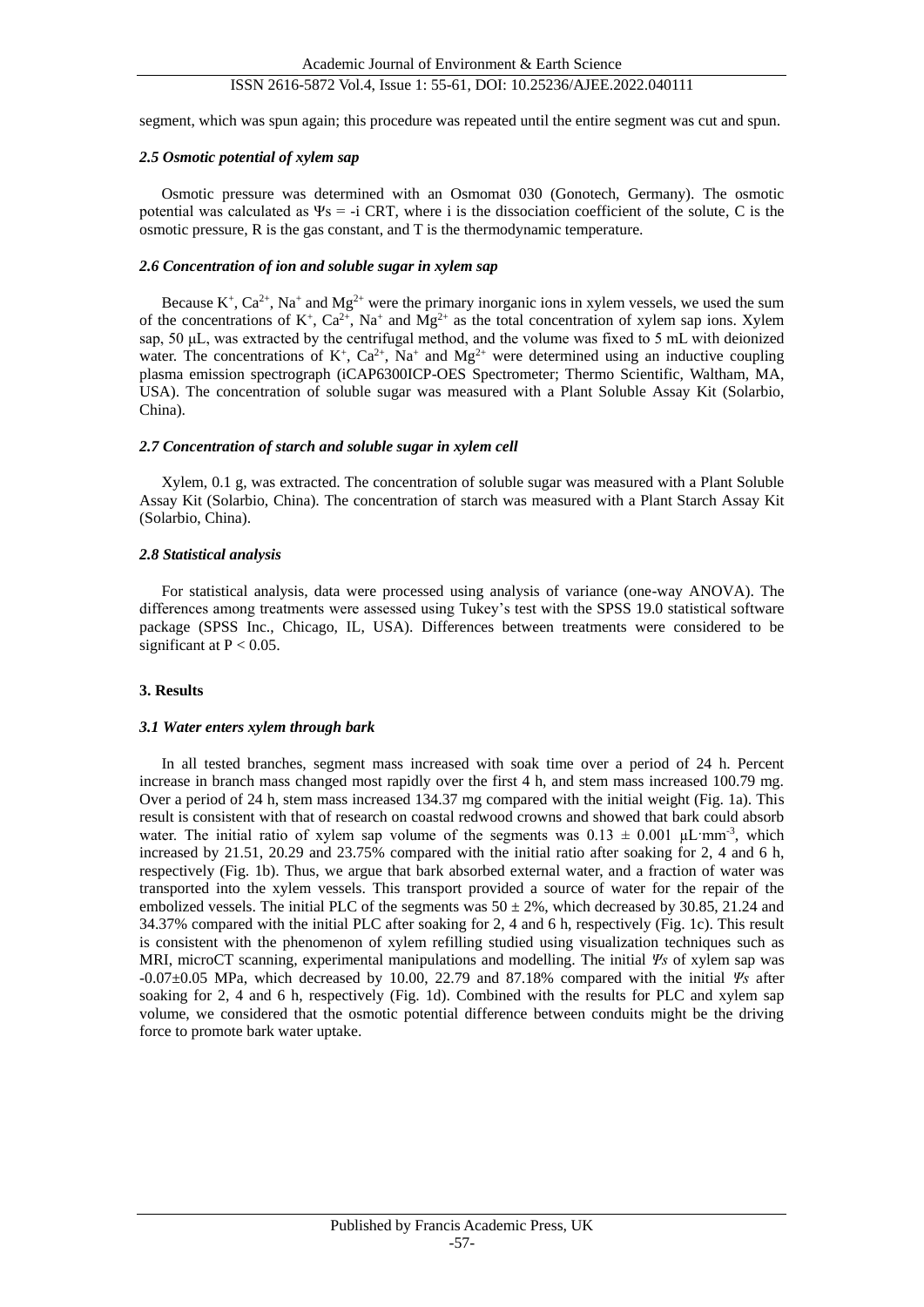## ISSN 2616-5872 Vol.4, Issue 1: 55-61, DOI: 10.25236/AJEE.2022.040111

segment, which was spun again; this procedure was repeated until the entire segment was cut and spun.

#### *2.5 Osmotic potential of xylem sap*

Osmotic pressure was determined with an Osmomat 030 (Gonotech, Germany). The osmotic potential was calculated as  $\Psi$ s = -i CRT, where i is the dissociation coefficient of the solute, C is the osmotic pressure, R is the gas constant, and T is the thermodynamic temperature.

#### *2.6 Concentration of ion and soluble sugar in xylem sap*

Because  $K^+$ ,  $Ca^{2+}$ , Na<sup>+</sup> and Mg<sup>2+</sup> were the primary inorganic ions in xylem vessels, we used the sum of the concentrations of  $K^+$ ,  $Ca^{2+}$ ,  $Na^+$  and  $Mg^{2+}$  as the total concentration of xylem sap ions. Xylem sap, 50 μL, was extracted by the centrifugal method, and the volume was fixed to 5 mL with deionized water. The concentrations of  $K^+$ ,  $Ca^{2+}$ , Na<sup>+</sup> and Mg<sup>2+</sup> were determined using an inductive coupling plasma emission spectrograph (iCAP6300ICP-OES Spectrometer; Thermo Scientific, Waltham, MA, USA). The concentration of soluble sugar was measured with a Plant Soluble Assay Kit (Solarbio, China).

#### *2.7 Concentration of starch and soluble sugar in xylem cell*

Xylem, 0.1 g, was extracted. The concentration of soluble sugar was measured with a Plant Soluble Assay Kit (Solarbio, China). The concentration of starch was measured with a Plant Starch Assay Kit (Solarbio, China).

#### *2.8 Statistical analysis*

For statistical analysis, data were processed using analysis of variance (one-way ANOVA). The differences among treatments were assessed using Tukey's test with the SPSS 19.0 statistical software package (SPSS Inc., Chicago, IL, USA). Differences between treatments were considered to be significant at  $P < 0.05$ .

## **3. Results**

#### *3.1 Water enters xylem through bark*

In all tested branches, segment mass increased with soak time over a period of 24 h. Percent increase in branch mass changed most rapidly over the first 4 h, and stem mass increased 100.79 mg. Over a period of 24 h, stem mass increased 134.37 mg compared with the initial weight (Fig. 1a). This result is consistent with that of research on coastal redwood crowns and showed that bark could absorb water. The initial ratio of xylem sap volume of the segments was  $0.13 \pm 0.001 \mu L \cdot mm^{-3}$ , which increased by 21.51, 20.29 and 23.75% compared with the initial ratio after soaking for 2, 4 and 6 h, respectively (Fig. 1b). Thus, we argue that bark absorbed external water, and a fraction of water was transported into the xylem vessels. This transport provided a source of water for the repair of the embolized vessels. The initial PLC of the segments was  $50 \pm 2\%$ , which decreased by 30.85, 21.24 and 34.37% compared with the initial PLC after soaking for 2, 4 and 6 h, respectively (Fig. 1c). This result is consistent with the phenomenon of xylem refilling studied using visualization techniques such as MRI, microCT scanning, experimental manipulations and modelling. The initial *Ψs* of xylem sap was -0.07±0.05 MPa, which decreased by 10.00, 22.79 and 87.18% compared with the initial *Ψs* after soaking for 2, 4 and 6 h, respectively (Fig. 1d). Combined with the results for PLC and xylem sap volume, we considered that the osmotic potential difference between conduits might be the driving force to promote bark water uptake.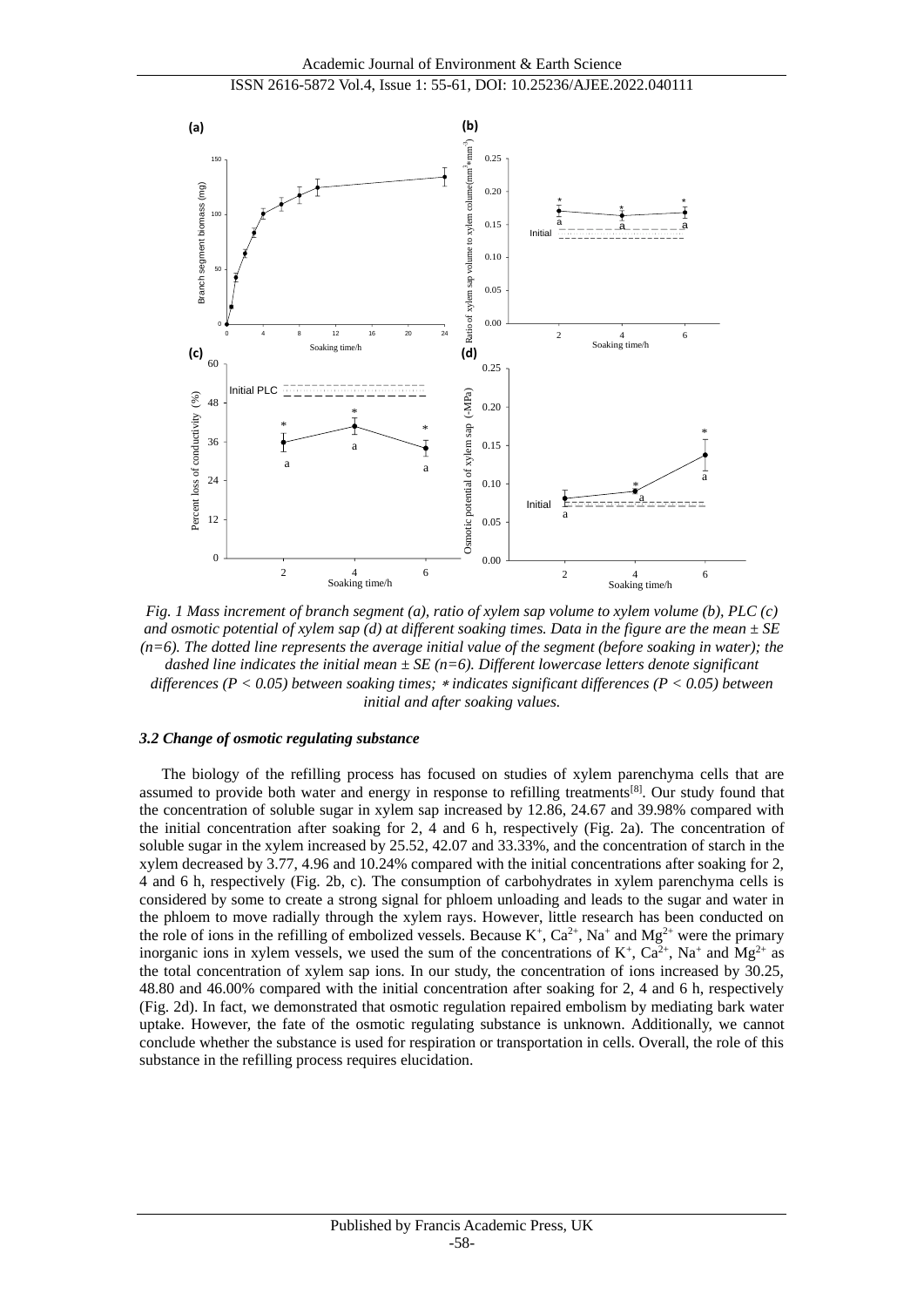

*Fig. 1 Mass increment of branch segment (a), ratio of xylem sap volume to xylem volume (b), PLC (c)*  and osmotic potential of xylem sap (d) at different soaking times. Data in the figure are the mean  $\pm SE$ *(n=6). The dotted line represents the average initial value of the segment (before soaking in water); the dashed line indicates the initial mean ±SE (n=6). Different lowercase letters denote significant differences (P < 0.05) between soaking times; indicates significant differences (P < 0.05) between initial and after soaking values.*

#### *3.2 Change of osmotic regulating substance*

The biology of the refilling process has focused on studies of xylem parenchyma cells that are assumed to provide both water and energy in response to refilling treatments[8]. Our study found that the concentration of soluble sugar in xylem sap increased by 12.86, 24.67 and 39.98% compared with the initial concentration after soaking for 2, 4 and 6 h, respectively (Fig. 2a). The concentration of soluble sugar in the xylem increased by 25.52, 42.07 and 33.33%, and the concentration of starch in the xylem decreased by 3.77, 4.96 and 10.24% compared with the initial concentrations after soaking for 2, 4 and 6 h, respectively (Fig. 2b, c). The consumption of carbohydrates in xylem parenchyma cells is considered by some to create a strong signal for phloem unloading and leads to the sugar and water in the phloem to move radially through the xylem rays. However, little research has been conducted on the role of ions in the refilling of embolized vessels. Because  $K^+$ ,  $Ca^{2+}$ , Na<sup>+</sup> and Mg<sup>2+</sup> were the primary inorganic ions in xylem vessels, we used the sum of the concentrations of  $K^+$ ,  $Ca^{2+}$ ,  $Na^+$  and  $Mg^{2+}$  as the total concentration of xylem sap ions. In our study, the concentration of ions increased by 30.25, 48.80 and 46.00% compared with the initial concentration after soaking for 2, 4 and 6 h, respectively (Fig. 2d). In fact, we demonstrated that osmotic regulation repaired embolism by mediating bark water uptake. However, the fate of the osmotic regulating substance is unknown. Additionally, we cannot conclude whether the substance is used for respiration or transportation in cells. Overall, the role of this substance in the refilling process requires elucidation.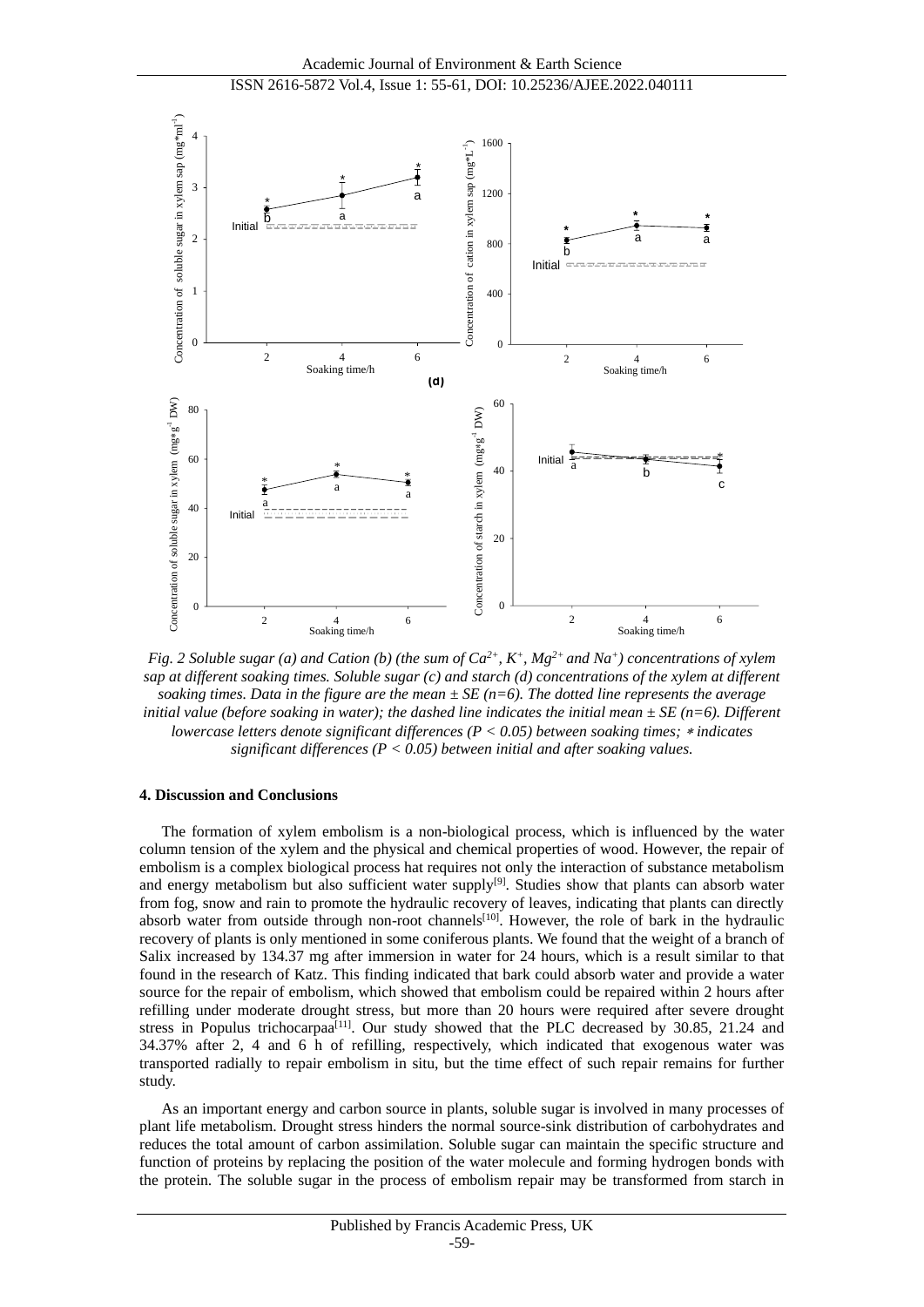

*Fig. 2 Soluble sugar (a) and Cation (b) (the sum of*  $Ca^{2+}$ *,*  $K^+$ *,*  $Mg^{2+}$  *and*  $Na^+$ *) concentrations of xylem sap at different soaking times. Soluble sugar (c) and starch (d) concentrations of the xylem at different soaking times. Data in the figure are the mean*  $\pm SE$  ( $n=6$ ). The dotted line represents the average *initial value (before soaking in water); the dashed line indicates the initial mean*  $\pm SE$  (*n*=6). *Different lowercase letters denote significant differences (P < 0.05) between soaking times; indicates significant differences (P < 0.05) between initial and after soaking values.* 

#### **4. Discussion and Conclusions**

The formation of xylem embolism is a non-biological process, which is influenced by the water column tension of the xylem and the physical and chemical properties of wood. However, the repair of embolism is a complex biological process hat requires not only the interaction of substance metabolism and energy metabolism but also sufficient water supply<sup>[9]</sup>. Studies show that plants can absorb water from fog, snow and rain to promote the hydraulic recovery of leaves, indicating that plants can directly absorb water from outside through non-root channels<sup>[10]</sup>. However, the role of bark in the hydraulic recovery of plants is only mentioned in some coniferous plants. We found that the weight of a branch of Salix increased by 134.37 mg after immersion in water for 24 hours, which is a result similar to that found in the research of Katz. This finding indicated that bark could absorb water and provide a water source for the repair of embolism, which showed that embolism could be repaired within 2 hours after refilling under moderate drought stress, but more than 20 hours were required after severe drought stress in Populus trichocarpaa<sup>[11]</sup>. Our study showed that the PLC decreased by 30.85, 21.24 and 34.37% after 2, 4 and 6 h of refilling, respectively, which indicated that exogenous water was transported radially to repair embolism in situ, but the time effect of such repair remains for further study.

As an important energy and carbon source in plants, soluble sugar is involved in many processes of plant life metabolism. Drought stress hinders the normal source-sink distribution of carbohydrates and reduces the total amount of carbon assimilation. Soluble sugar can maintain the specific structure and function of proteins by replacing the position of the water molecule and forming hydrogen bonds with the protein. The soluble sugar in the process of embolism repair may be transformed from starch in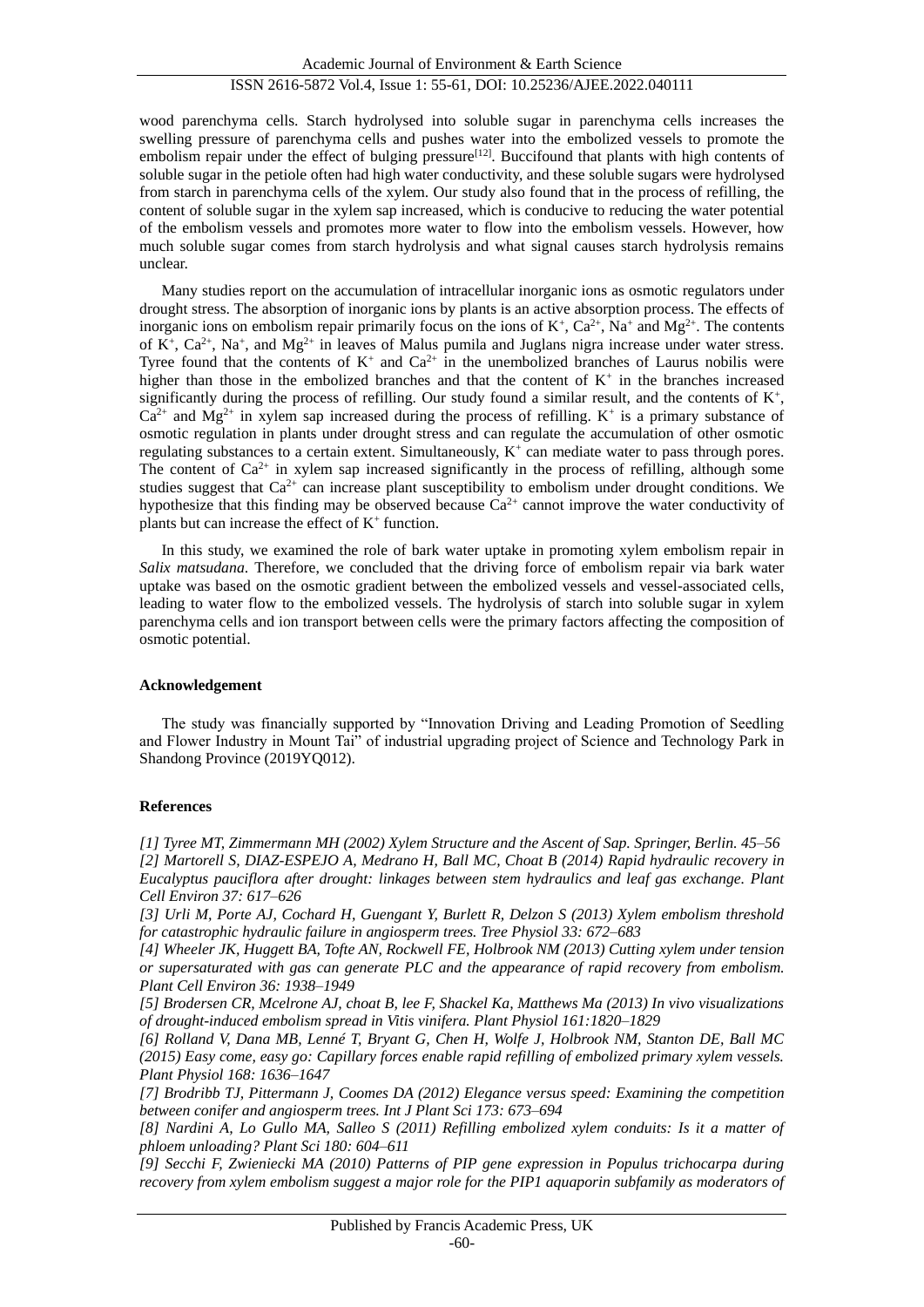## ISSN 2616-5872 Vol.4, Issue 1: 55-61, DOI: 10.25236/AJEE.2022.040111

wood parenchyma cells. Starch hydrolysed into soluble sugar in parenchyma cells increases the swelling pressure of parenchyma cells and pushes water into the embolized vessels to promote the embolism repair under the effect of bulging pressure<sup>[12]</sup>. Buccifound that plants with high contents of soluble sugar in the petiole often had high water conductivity, and these soluble sugars were hydrolysed from starch in parenchyma cells of the xylem. Our study also found that in the process of refilling, the content of soluble sugar in the xylem sap increased, which is conducive to reducing the water potential of the embolism vessels and promotes more water to flow into the embolism vessels. However, how much soluble sugar comes from starch hydrolysis and what signal causes starch hydrolysis remains unclear.

Many studies report on the accumulation of intracellular inorganic ions as osmotic regulators under drought stress. The absorption of inorganic ions by plants is an active absorption process. The effects of inorganic ions on embolism repair primarily focus on the ions of  $K^+$ ,  $Ca^{2+}$ , Na<sup>+</sup> and Mg<sup>2+</sup>. The contents of  $K^+$ ,  $Ca^{2+}$ ,  $Na^+$ , and  $Mg^{2+}$  in leaves of Malus pumila and Juglans nigra increase under water stress. Tyree found that the contents of  $K^+$  and  $Ca^{2+}$  in the unembolized branches of Laurus nobilis were higher than those in the embolized branches and that the content of  $K^+$  in the branches increased significantly during the process of refilling. Our study found a similar result, and the contents of  $K^+$ ,  $Ca^{2+}$  and Mg<sup>2+</sup> in xylem sap increased during the process of refilling. K<sup>+</sup> is a primary substance of osmotic regulation in plants under drought stress and can regulate the accumulation of other osmotic regulating substances to a certain extent. Simultaneously,  $K^+$  can mediate water to pass through pores. The content of  $Ca^{2+}$  in xylem sap increased significantly in the process of refilling, although some studies suggest that  $Ca^{2+}$  can increase plant susceptibility to embolism under drought conditions. We hypothesize that this finding may be observed because  $Ca^{2+}$  cannot improve the water conductivity of plants but can increase the effect of  $K^+$  function.

In this study, we examined the role of bark water uptake in promoting xylem embolism repair in *Salix matsudana*. Therefore, we concluded that the driving force of embolism repair via bark water uptake was based on the osmotic gradient between the embolized vessels and vessel-associated cells, leading to water flow to the embolized vessels. The hydrolysis of starch into soluble sugar in xylem parenchyma cells and ion transport between cells were the primary factors affecting the composition of osmotic potential.

## **Acknowledgement**

The study was financially supported by "Innovation Driving and Leading Promotion of Seedling and Flower Industry in Mount Tai" of industrial upgrading project of Science and Technology Park in Shandong Province (2019YQ012).

## **References**

*[1] Tyree MT, Zimmermann MH (2002) Xylem Structure and the Ascent of Sap. Springer, Berlin. 45–56 [2] Martorell S, DIAZ-ESPEJO A, Medrano H, Ball MC, Choat B (2014) Rapid hydraulic recovery in Eucalyptus pauciflora after drought: linkages between stem hydraulics and leaf gas exchange. Plant Cell Environ 37: 617–626*

*[3] Urli M, Porte AJ, Cochard H, Guengant Y, Burlett R, Delzon S (2013) Xylem embolism threshold for catastrophic hydraulic failure in angiosperm trees. Tree Physiol 33: 672–683*

*[4] Wheeler JK, Huggett BA, Tofte AN, Rockwell FE, Holbrook NM (2013) Cutting xylem under tension or supersaturated with gas can generate PLC and the appearance of rapid recovery from embolism. Plant Cell Environ 36: 1938–1949*

*[5] Brodersen CR, Mcelrone AJ, choat B, lee F, Shackel Ka, Matthews Ma (2013) In vivo visualizations of drought-induced embolism spread in Vitis vinifera. Plant Physiol 161:1820–1829*

*[6] Rolland V, Dana MB, Lenné T, Bryant G, Chen H, Wolfe J, Holbrook NM, Stanton DE, Ball MC (2015) Easy come, easy go: Capillary forces enable rapid refilling of embolized primary xylem vessels. Plant Physiol 168: 1636–1647*

*[7] Brodribb TJ, Pittermann J, Coomes DA (2012) Elegance versus speed: Examining the competition between conifer and angiosperm trees. Int J Plant Sci 173: 673–694*

*[8] Nardini A, Lo Gullo MA, Salleo S (2011) Refilling embolized xylem conduits: Is it a matter of phloem unloading? Plant Sci 180: 604–611*

*[9] Secchi F, Zwieniecki MA (2010) Patterns of PIP gene expression in Populus trichocarpa during recovery from xylem embolism suggest a major role for the PIP1 aquaporin subfamily as moderators of*